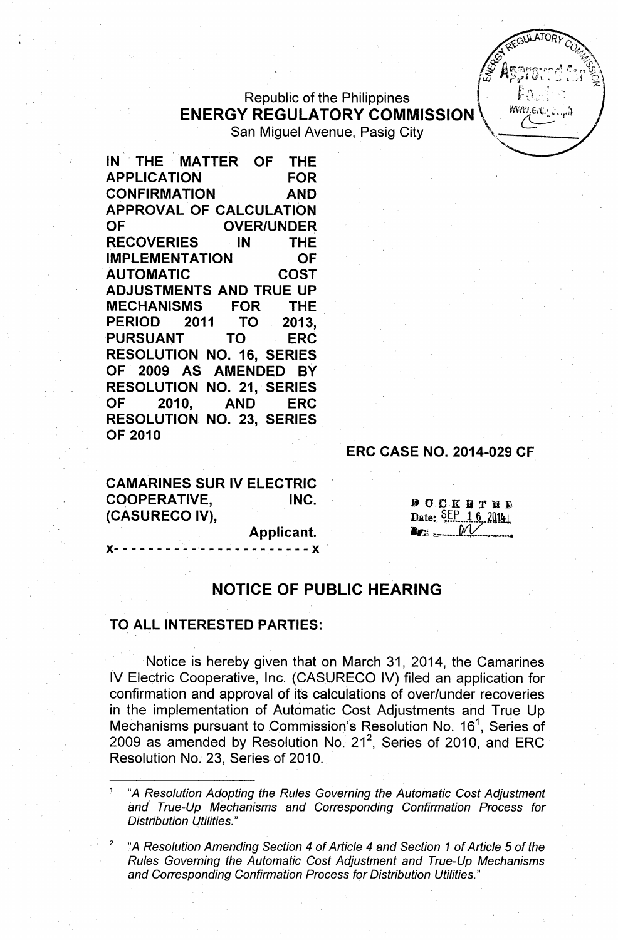Republic of the Philippines ENERGY REGULATORY COMMISSION., \'i'V~"t,;1 San Miguel Avenue, Pasig City

oarriviiguel Avenue, Pasig City<br>IN THE MATTER OF THE APPLICATION ' FOR CONFIRMATION AND APPROVAL OF CALCULATION OF OVER/UNDER RECOVERIES IN THE IMPLEMENTATION OF AUTOMATIC COST ADJUSTMENTS AND TRUE UP MECHANISMS FOR THE PERIOD 2011 TO 2013, PURSUANT TO ERC RESOLUTION NO. 16, SERIES OF 2009 AS AMENDED BY RESOLUTION NO. 21, SERIES OF 2010, AND ERC RESOLUTION NO. 23, SERIES OF 2010

## ERC CASE NO. 2014-029 CF

CAMARINES SUR IV ELECTRIC COOPERATIVE, INC. (CASURECO IV),

**DOCKNTRD** Date: SEP 16 2014  $\mathbf{E}$ 

**EGULATOR** 

'f~ *R;:J~.7:*v\ *,~.i* L,~,j '0

 $F_{\text{A}}$   $\sim$   $\sim$   $\sim$   $\sim$ 

*, ~~ Q:!,~* ,  $\mathcal{O}_\mathcal{P}$ ,  $\mathcal{O}_\mathcal{P}$ . .~ <~

c ' is the second control of  $\mathscr{L}$  and  $\mathscr{L}$  is the second control  $\mathscr{L}_{\mathscr{R}}$  is the second control of  $\mathscr{L}_{\mathscr{R}}$  is the second control of  $\mathscr{L}_{\mathscr{R}}$  is the second control of  $\mathscr{L}_{\mathscr{R}}$  is the second

Applicant.

 $- - - - X$ 

## NOTICE OF PUBLIC HEARING

## TO ALL INTERESTED PARTIES:

Notice is hereby given that on March 31, 2014, the Camarines IV Electric Cooperative, Inc. (CASURECO IV) filed an application for confirmation and approval of its calculations of over/under recoveries in the implementation of Automatic Cost Adjustments and True Up Mechanisms pursuant to Commission's Resolution No. 16<sup>1</sup>, Series of 2009 as amended by Resolution No. 21<sup>2</sup>, Series of 2010, and ERC Resolution No. 23, Series of 2010.

<sup>1</sup> "A *Resolution Adopting the Rules Governing the Automatic Cost Adjustment and True-Up Mechanisms and Corresponding Confirmation Process for Distribution l)tilities."*

*<sup>2</sup> "A Resolution Amending Section* 4 *of Article* 4 *and Section* 1 *of Article* 5 *of the Rules Governing the Automatic Cost Adjustment and True-Up Mechanisms and Corresponding Confirmation Process for Distribution Utilities."*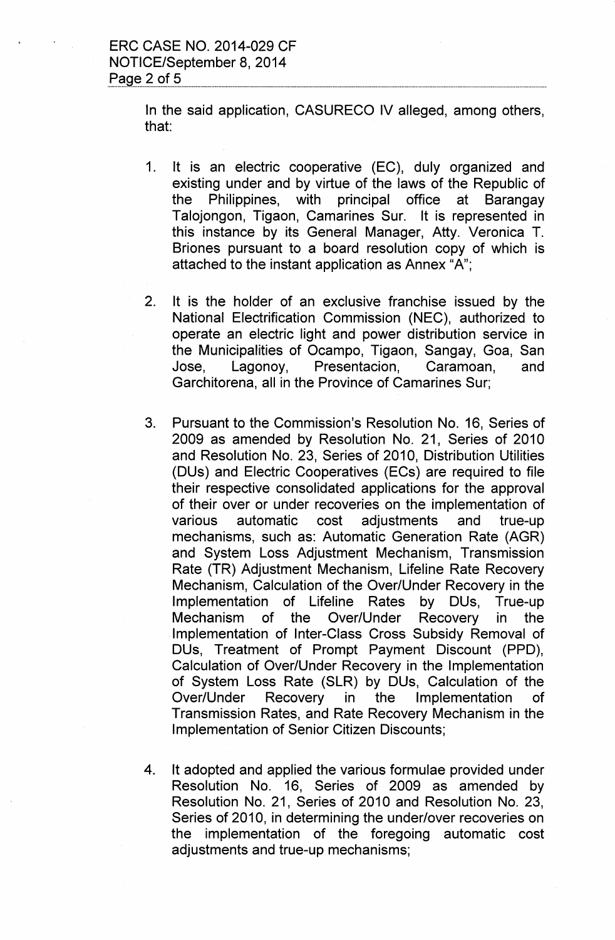In the said application, CASURECO IV alleged, among others, that:

- 1. It is an electric cooperative (EC), duly organized and existing under and by virtue of the laws of the Republic of the Philippines, with principal office at Barangay Talojongon, Tigaon, Camarines Sur. It is represented in this instance by its General Manager, Atty. Veronica T. Briones pursuant to a board resolution copy of which is attached to the instant application as Annex "A";
- 2. It is the holder of an exclusive franchise issued by the National Electrification Commission (NEC), authorized to operate an electric light and power distribution service in the Municipalities of Ocampo, Tigaon, Sangay, Goa, San Jose, Lagonoy, Presentacion, Caramoan, and Garchitorena, all in the Province of Camarines Sur;
- 3. Pursuant to the Commission's Resolution No. 16, Series of 2009 as amended by Resolution No. 21, Series of 2010 and Resolution No. 23, Series of 2010, Distribution Utilities (DUs) and Electric Cooperatives (ECs) are required to file their respective consolidated applications for the approval of their over or under recoveries on the implementation of various automatic cost adjustments and true-up mechanisms, such as: Automatic Generation Rate (AGR) and System Loss Adjustment Mechanism, Transmission Rate (TR) Adjustment Mechanism, Lifeline Rate Recovery Mechanism, Calculation of the Over/Under Recovery in the Implementation of Lifeline Rates by DUs, True-up Mechanism of the Over/Under Recovery in the Implementation of Inter-Class Cross Subsidy Removal of DUs, Treatment of Prompt Payment Discount (PPD), Calculation of Over/Under Recovery in the Implementation of System Loss Rate (SLR) by DUs, Calculation of the Over/Under Recovery in the Implementation of Transmission Rates, and Rate Recovery Mechanism in the Implementation of Senior Citizen Discounts;
- 4. It adopted and applied the various formulae provided under Resolution No. 16, Series of 2009 as amended by Resolution No. 21, Series of 2010 and Resolution No. 23, Series of 2010, in determining the under/over recoveries on the implementation of the foregoing automatic cost adjustments and true-up mechanisms;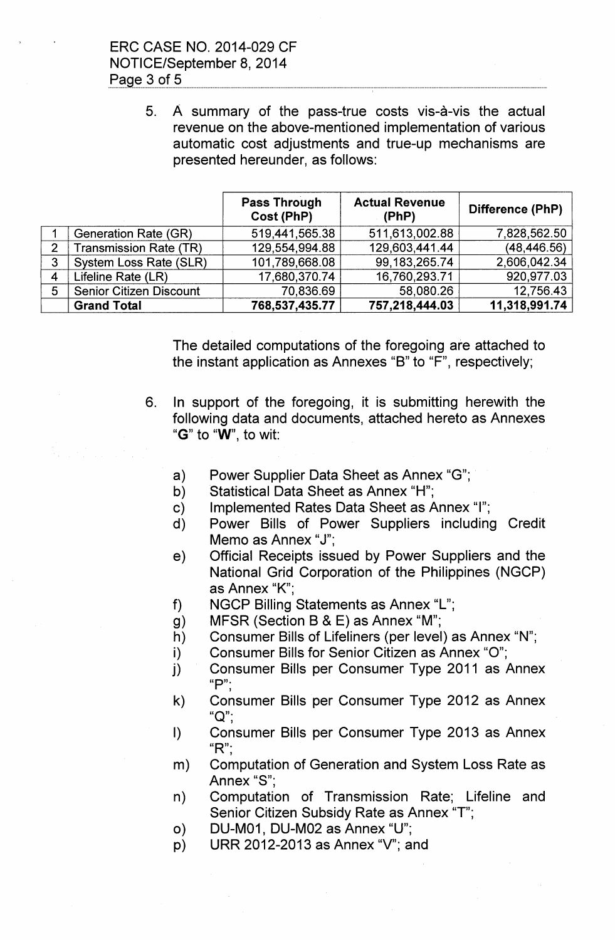ERC CASE NO. 2014-029 CF NOTICE/September 8,2014 Page 3 of 5

> 5. A summary of the pass-true costs vis-a-vis the actual revenue on the above-mentioned implementation of various automatic cost adjustments and true-up mechanisms are presented hereunder, as follows:

|                |                                | <b>Pass Through</b><br>Cost (PhP) | <b>Actual Revenue</b><br>(PhP) | Difference (PhP) |
|----------------|--------------------------------|-----------------------------------|--------------------------------|------------------|
|                | Generation Rate (GR)           | 519,441,565.38                    | 511,613,002.88                 | 7,828,562.50     |
| 2              | <b>Transmission Rate (TR)</b>  | 129,554,994.88                    | 129,603,441.44                 | (48, 446.56)     |
| 3              | System Loss Rate (SLR)         | 101,789,668.08                    | 99, 183, 265. 74               | 2,606,042.34     |
| $\overline{4}$ | Lifeline Rate (LR)             | 17,680,370.74                     | 16,760,293.71                  | 920,977.03       |
| 5              | <b>Senior Citizen Discount</b> | 70,836.69                         | 58,080.26                      | 12,756.43        |
|                | <b>Grand Total</b>             | 768,537,435.77                    | 757,218,444.03                 | 11,318,991.74    |

The detailed computations of the foregoing are attached to the instant application as Annexes "B" to "F", respectively;

- 6. In support of the foregoing, it is submitting herewith the following data and documents, attached hereto as Annexes "G" to "W", to wit:
	- a) Power Supplier Data Sheet as Annex "G";
	- b) Statistical Data Sheet as Annex "H";
	- c) Implemented Rates Data Sheet as Annex "I";
	- d) Power Bills of Power Suppliers including Credit Memo as Annex "J";
	- e) Official Receipts issued by Power Suppliers and the National Grid Corporation of the Philippines (NGCP) as Annex "K'",
	- f) NGCP Billing Statements as Annex "L";
	- g) MFSR (Section B & E) as Annex "M";
	- h) Consumer Bills of Lifeliners (per level) as Annex "N";
	- i) Consumer Bills for Senior Citizen as Annex "0";
	- j) Consumer Bills per Consumer Type 2011 as Annex " $P$ ":
	- k) Consumer Bills per Consumer Type 2012 as Annex "Q";
	- I) Consumer Bills per Consumer Type 2013 as Annex  $"R"$ :
	- m) Computation of Generation and System loss Rate as Annex "S";
	- n) Computation of Transmission Rate; Lifeline and Senior Citizen Subsidy Rate as Annex "T";
	- 0) DU-M01, DU-M02 as Annex "U";
	- p) URR 2012-2013 as Annex "V"; and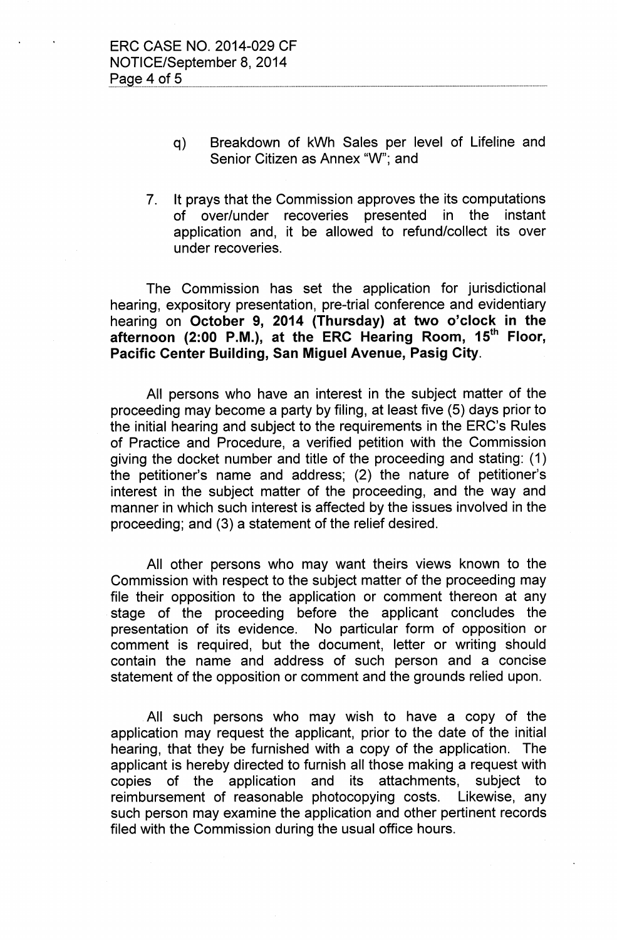- q) Breakdown of kWh Sales per level of Lifeline and Senior Citizen as Annex "W"; and
- 7. It prays that the Commission approves the its computations of over/under recoveries presented in the instant application and, it be allowed to refund/collect its over under recoveries.

The Commission has set the application for jurisdictional hearing, expository presentation, pre-trial conference and evidentiary hearing on October 9, 2014 (Thursday) at two o'clock in the afternoon (2:00 P.M.), at the ERC Hearing Room, 15<sup>th</sup> Floor, Pacific Center Building, San Miguel Avenue, Pasig City.

All persons who have an interest in the subject matter of the proceeding may become a party by filing, at least five (5) days prior to the initial hearing and subject to the requirements in the ERC's Rules of Practice and Procedure, a verified petition with the Commission giving the docket number and title of the proceeding and stating: (1) the petitioner's name and address; (2) the nature of petitioner's interest in the subject matter of the proceeding, and the way and manner in which such interest is affected by the issues involved in the proceeding; and (3) a statement of the relief desired.

All other persons who may want theirs views known to the Commission with respect to the subject matter of the proceeding may file their opposition to the application or comment thereon at any stage of the proceeding before the applicant concludes the presentation of its evidence. No particular form of opposition or comment is required, but the document, letter or writing should contain the name and address of such person and a concise statement of the opposition or comment and the grounds relied upon.

All such persons who may wish to have a copy of the application may request the applicant, prior to the date of the initial hearing, that they be furnished with a copy of the application. The applicant is hereby directed to furnish all those making a request with copies of the application and its attachments, subject to reimbursement of reasonable photocopying costs. Likewise, any such person may examine the application and other pertinent records filed with the Commission during the usual office hours.